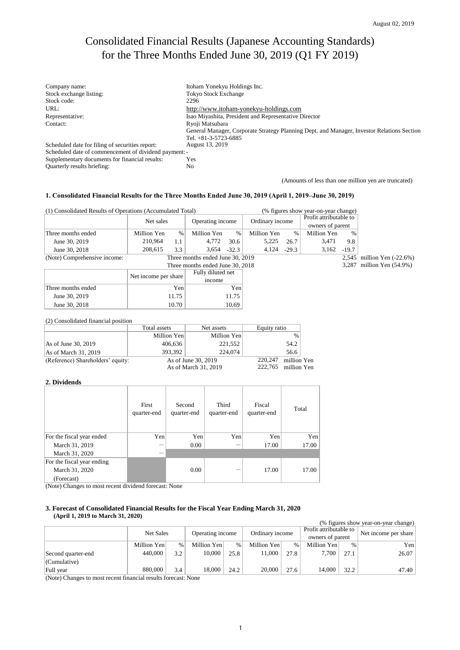# Consolidated Financial Results (Japanese Accounting Standards) for the Three Months Ended June 30, 2019 (Q1 FY 2019)

| Company name:                                         | Itoham Yonekyu Holdings Inc.                                                               |
|-------------------------------------------------------|--------------------------------------------------------------------------------------------|
| Stock exchange listing:                               | <b>Tokyo Stock Exchange</b>                                                                |
| Stock code:                                           | 2296                                                                                       |
| URL:                                                  | http://www.itoham-yonekyu-holdings.com                                                     |
| Representative:                                       | Isao Miyashita, President and Representative Director                                      |
| Contact:                                              | Ryoji Matsubara                                                                            |
|                                                       | General Manager, Corporate Strategy Planning Dept. and Manager, Investor Relations Section |
|                                                       | Tel. +81-3-5723-6885                                                                       |
| Scheduled date for filing of securities report:       | August 13, 2019                                                                            |
| Scheduled date of commencement of dividend payment: - |                                                                                            |
| Supplementary documents for financial results:        | Yes                                                                                        |
| Quarterly results briefing:                           | No                                                                                         |

(Amounts of less than one million yen are truncated)

#### **1. Consolidated Financial Results for the Three Months Ended June 30, 2019 (April 1, 2019–June 30, 2019)**

| (1) Consolidated Results of Operations (Accumulated Total) |                      |                                  |                   | (% figures show year-on-year change) |                 |         |                           |         |  |
|------------------------------------------------------------|----------------------|----------------------------------|-------------------|--------------------------------------|-----------------|---------|---------------------------|---------|--|
|                                                            | Net sales            |                                  | Operating income  |                                      | Ordinary income |         | Profit attributable to    |         |  |
|                                                            |                      |                                  |                   |                                      |                 |         | owners of parent          |         |  |
| Three months ended                                         | Million Yen          | $\%$                             | Million Yen       | $\%$                                 | Million Yen     | $\%$    | Million Yen               | %       |  |
| June 30, 2019                                              | 210.964              | 1.1                              | 4,772             | 30.6                                 | 5,225           | 26.7    | 3,471                     | 9.8     |  |
| June 30, 2018                                              | 208,615              | 3.3                              | 3,654             | $-32.3$                              | 4,124           | $-29.3$ | 3,162                     | $-19.7$ |  |
| (Note) Comprehensive income:                               |                      | Three months ended June 30, 2019 |                   |                                      |                 | 2.545   | million Yen $(-22.6\%)$   |         |  |
|                                                            |                      | Three months ended June 30, 2018 |                   |                                      |                 |         | 3,287 million Yen (54.9%) |         |  |
|                                                            | Net income per share |                                  | Fully diluted net |                                      |                 |         |                           |         |  |
|                                                            |                      |                                  | income            |                                      |                 |         |                           |         |  |
| Three months ended                                         |                      | Yen                              |                   | Yen                                  |                 |         |                           |         |  |
| June 30, 2019                                              |                      | 11.75                            |                   | 11.75                                |                 |         |                           |         |  |
| June 30, 2018                                              |                      | 10.70                            |                   | 10.69                                |                 |         |                           |         |  |
|                                                            |                      |                                  |                   |                                      |                 |         |                           |         |  |

(2) Consolidated financial position

|                                   | Total assets | Net assets           | Equity ratio          |             |
|-----------------------------------|--------------|----------------------|-----------------------|-------------|
|                                   | Million Yen  | Million Yen          |                       | $\%$        |
| As of June 30, 2019               | 406,636      | 221,552              |                       | 54.2        |
| As of March 31, 2019              | 393.392      | 224,074              |                       | 56.6        |
| (Reference) Shareholders' equity: |              | As of June 30, 2019  | 220,247               | million Yen |
|                                   |              | As of March 31, 2019 | $222,765$ million Yen |             |

#### **2. Dividends**

|                            | First<br>quarter-end | Second<br>quarter-end | Third<br>quarter-end | Fiscal<br>quarter-end | Total |
|----------------------------|----------------------|-----------------------|----------------------|-----------------------|-------|
| For the fiscal year ended  | Yen                  | Yen                   | Yen                  | Yen                   | Yen   |
| March 31, 2019             |                      | $0.00\,$              |                      | 17.00                 | 17.00 |
| March 31, 2020             |                      |                       |                      |                       |       |
| For the fiscal year ending |                      |                       |                      |                       |       |
| March 31, 2020             |                      | 0.00                  |                      | 17.00                 | 17.00 |
| (Forecast)                 |                      |                       |                      |                       |       |

(Note) Changes to most recent dividend forecast: None

#### **3. Forecast of Consolidated Financial Results for the Fiscal Year Ending March 31, 2020 (April 1, 2019 to March 31, 2020)**

| (% figures show year-on-year change) |             |      |                  |      |                 |               |                        |      |                      |
|--------------------------------------|-------------|------|------------------|------|-----------------|---------------|------------------------|------|----------------------|
|                                      | Net Sales   |      | Operating income |      |                 |               | Profit attributable to |      | Net income per share |
|                                      |             |      |                  |      | Ordinary income |               | owners of parent       |      |                      |
|                                      | Million Yen | $\%$ | Million Yen      | $\%$ | Million Yen     | $\frac{0}{0}$ | Million Yen            | $\%$ | Yen                  |
| Second quarter-end                   | 440,000     | 3.2  | 10.000           | 25.8 | 11.000          | 27.8          | 7.700                  | 27.1 | 26.07                |
| $ $ (Cumulative)                     |             |      |                  |      |                 |               |                        |      |                      |
| Full year                            | 880,000     | 3.4  | 18,000           | 24.2 | 20,000          | 27.6          | 14,000                 | 32.2 | 47.40                |

(Note) Changes to most recent financial results forecast: None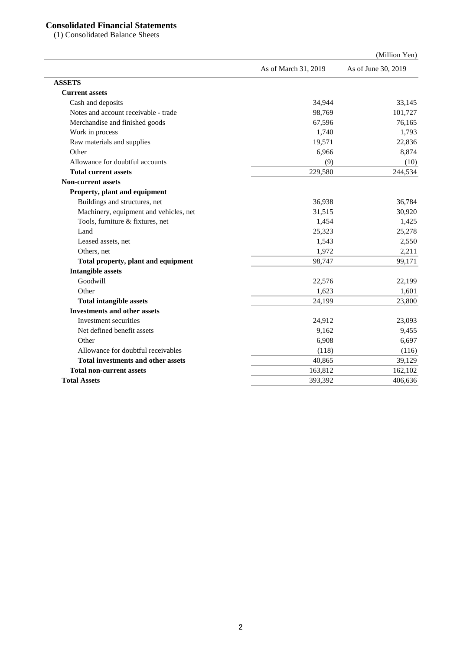# **Consolidated Financial Statements**

(1) Consolidated Balance Sheets

|                                           |                      | (Million Yen)       |
|-------------------------------------------|----------------------|---------------------|
|                                           | As of March 31, 2019 | As of June 30, 2019 |
| <b>ASSETS</b>                             |                      |                     |
| <b>Current assets</b>                     |                      |                     |
| Cash and deposits                         | 34,944               | 33,145              |
| Notes and account receivable - trade      | 98,769               | 101,727             |
| Merchandise and finished goods            | 67,596               | 76,165              |
| Work in process                           | 1,740                | 1,793               |
| Raw materials and supplies                | 19,571               | 22,836              |
| Other                                     | 6,966                | 8,874               |
| Allowance for doubtful accounts           | (9)                  | (10)                |
| <b>Total current assets</b>               | 229,580              | 244,534             |
| <b>Non-current assets</b>                 |                      |                     |
| Property, plant and equipment             |                      |                     |
| Buildings and structures, net             | 36,938               | 36,784              |
| Machinery, equipment and vehicles, net    | 31,515               | 30,920              |
| Tools, furniture & fixtures, net          | 1,454                | 1,425               |
| Land                                      | 25,323               | 25,278              |
| Leased assets, net                        | 1,543                | 2,550               |
| Others, net                               | 1,972                | 2,211               |
| Total property, plant and equipment       | 98,747               | 99,171              |
| <b>Intangible assets</b>                  |                      |                     |
| Goodwill                                  | 22,576               | 22,199              |
| Other                                     | 1,623                | 1,601               |
| <b>Total intangible assets</b>            | 24,199               | 23,800              |
| <b>Investments and other assets</b>       |                      |                     |
| Investment securities                     | 24,912               | 23,093              |
| Net defined benefit assets                | 9,162                | 9,455               |
| Other                                     | 6,908                | 6,697               |
| Allowance for doubtful receivables        | (118)                | (116)               |
| <b>Total investments and other assets</b> | 40,865               | 39,129              |
| <b>Total non-current assets</b>           | 163,812              | 162,102             |
| <b>Total Assets</b>                       | 393,392              | 406,636             |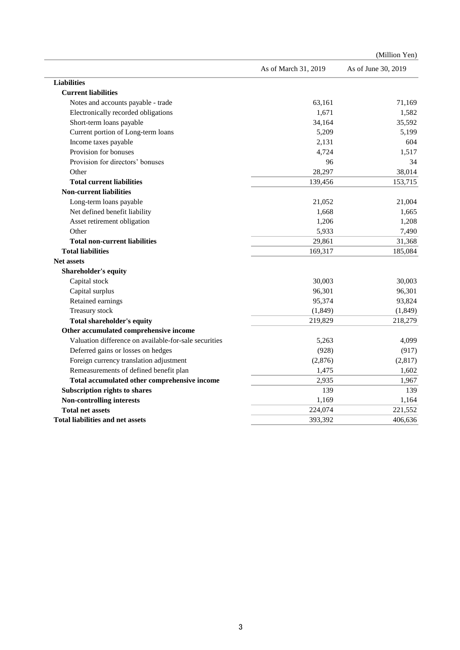|                                                       |                      | (Million Yen)       |
|-------------------------------------------------------|----------------------|---------------------|
|                                                       | As of March 31, 2019 | As of June 30, 2019 |
| <b>Liabilities</b>                                    |                      |                     |
| <b>Current liabilities</b>                            |                      |                     |
| Notes and accounts payable - trade                    | 63,161               | 71,169              |
| Electronically recorded obligations                   | 1,671                | 1,582               |
| Short-term loans payable                              | 34,164               | 35,592              |
| Current portion of Long-term loans                    | 5,209                | 5,199               |
| Income taxes payable                                  | 2,131                | 604                 |
| Provision for bonuses                                 | 4,724                | 1,517               |
| Provision for directors' bonuses                      | 96                   | 34                  |
| Other                                                 | 28,297               | 38,014              |
| <b>Total current liabilities</b>                      | 139,456              | 153,715             |
| <b>Non-current liabilities</b>                        |                      |                     |
| Long-term loans payable                               | 21,052               | 21,004              |
| Net defined benefit liability                         | 1,668                | 1,665               |
| Asset retirement obligation                           | 1,206                | 1,208               |
| Other                                                 | 5,933                | 7,490               |
| <b>Total non-current liabilities</b>                  | 29,861               | 31,368              |
| <b>Total liabilities</b>                              | 169,317              | 185,084             |
| <b>Net assets</b>                                     |                      |                     |
| <b>Shareholder's equity</b>                           |                      |                     |
| Capital stock                                         | 30,003               | 30,003              |
| Capital surplus                                       | 96,301               | 96,301              |
| Retained earnings                                     | 95,374               | 93,824              |
| Treasury stock                                        | (1, 849)             | (1,849)             |
| <b>Total shareholder's equity</b>                     | 219,829              | 218,279             |
| Other accumulated comprehensive income                |                      |                     |
| Valuation difference on available-for-sale securities | 5,263                | 4,099               |
| Deferred gains or losses on hedges                    | (928)                | (917)               |
| Foreign currency translation adjustment               | (2,876)              | (2,817)             |
| Remeasurements of defined benefit plan                | 1,475                | 1,602               |
| Total accumulated other comprehensive income          | 2,935                | 1,967               |
| Subscription rights to shares                         | 139                  | 139                 |
| <b>Non-controlling interests</b>                      | 1,169                | 1,164               |
| <b>Total net assets</b>                               | 224,074              | 221,552             |
| <b>Total liabilities and net assets</b>               | 393,392              | 406,636             |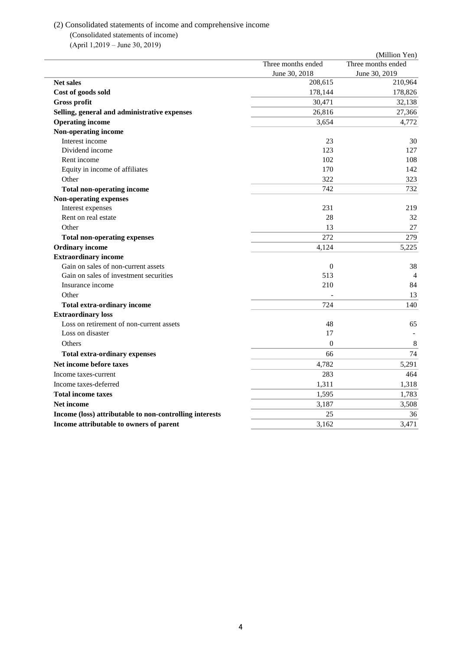## (2) Consolidated statements of income and comprehensive income (Consolidated statements of income)

(April 1,2019 – June 30, 2019)

|                                                         |                    | (Million Yen)      |
|---------------------------------------------------------|--------------------|--------------------|
|                                                         | Three months ended | Three months ended |
|                                                         | June 30, 2018      | June 30, 2019      |
| <b>Net sales</b>                                        | 208,615            | 210,964            |
| Cost of goods sold                                      | 178,144            | 178,826            |
| Gross profit                                            | 30,471             | 32,138             |
| Selling, general and administrative expenses            | 26,816             | 27,366             |
| <b>Operating income</b>                                 | 3.654              | 4,772              |
| Non-operating income                                    |                    |                    |
| Interest income                                         | 23                 | 30                 |
| Dividend income                                         | 123                | 127                |
| Rent income                                             | 102                | 108                |
| Equity in income of affiliates                          | 170                | 142                |
| Other                                                   | 322                | 323                |
| <b>Total non-operating income</b>                       | 742                | 732                |
| <b>Non-operating expenses</b>                           |                    |                    |
| Interest expenses                                       | 231                | 219                |
| Rent on real estate                                     | 28                 | 32                 |
| Other                                                   | 13                 | 27                 |
| <b>Total non-operating expenses</b>                     | 272                | 279                |
| <b>Ordinary income</b>                                  | 4,124              | 5,225              |
| <b>Extraordinary income</b>                             |                    |                    |
| Gain on sales of non-current assets                     | $\boldsymbol{0}$   | 38                 |
| Gain on sales of investment securities                  | 513                | $\overline{4}$     |
| Insurance income                                        | 210                | 84                 |
| Other                                                   |                    | 13                 |
| <b>Total extra-ordinary income</b>                      | 724                | 140                |
| <b>Extraordinary loss</b>                               |                    |                    |
| Loss on retirement of non-current assets                | 48                 | 65                 |
| Loss on disaster                                        | 17                 |                    |
| Others                                                  | $\mathbf{0}$       | 8                  |
| <b>Total extra-ordinary expenses</b>                    | 66                 | 74                 |
| Net income before taxes                                 | 4,782              | 5,291              |
| Income taxes-current                                    | 283                | 464                |
| Income taxes-deferred                                   | 1,311              | 1,318              |
| <b>Total income taxes</b>                               | 1,595              | 1,783              |
| <b>Net income</b>                                       | 3,187              | 3,508              |
| Income (loss) attributable to non-controlling interests | 25                 | 36                 |
| Income attributable to owners of parent                 | 3.162              | 3,471              |